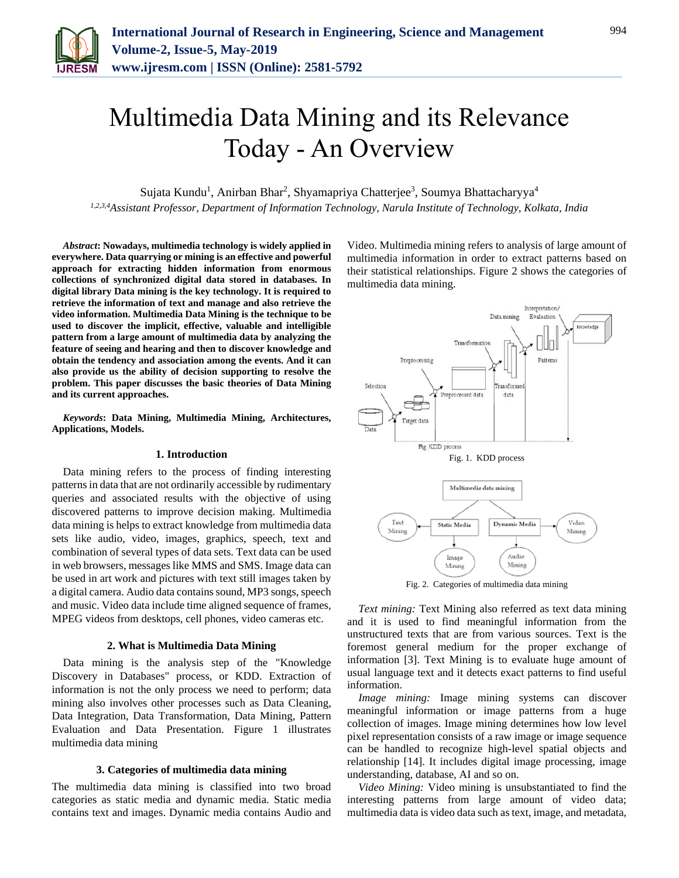

# Multimedia Data Mining and its Relevance Today - An Overview

Sujata Kundu<sup>1</sup>, Anirban Bhar<sup>2</sup>, Shyamapriya Chatterjee<sup>3</sup>, Soumya Bhattacharyya<sup>4</sup> *1,2,3,4Assistant Professor, Department of Information Technology, Narula Institute of Technology, Kolkata, India*

*Abstract***: Nowadays, multimedia technology is widely applied in everywhere. Data quarrying or mining is an effective and powerful approach for extracting hidden information from enormous collections of synchronized digital data stored in databases. In digital library Data mining is the key technology. It is required to retrieve the information of text and manage and also retrieve the video information. Multimedia Data Mining is the technique to be used to discover the implicit, effective, valuable and intelligible pattern from a large amount of multimedia data by analyzing the feature of seeing and hearing and then to discover knowledge and obtain the tendency and association among the events. And it can also provide us the ability of decision supporting to resolve the problem. This paper discusses the basic theories of Data Mining and its current approaches.**

*Keywords***: Data Mining, Multimedia Mining, Architectures, Applications, Models.**

## **1. Introduction**

Data mining refers to the process of finding interesting patterns in data that are not ordinarily accessible by rudimentary queries and associated results with the objective of using discovered patterns to improve decision making. Multimedia data mining is helps to extract knowledge from multimedia data sets like audio, video, images, graphics, speech, text and combination of several types of data sets. Text data can be used in web browsers, messages like MMS and SMS. Image data can be used in art work and pictures with text still images taken by a digital camera. Audio data contains sound, MP3 songs, speech and music. Video data include time aligned sequence of frames, MPEG videos from desktops, cell phones, video cameras etc.

#### **2. What is Multimedia Data Mining**

Data mining is the analysis step of the "Knowledge Discovery in Databases" process, or KDD. Extraction of information is not the only process we need to perform; data mining also involves other processes such as Data Cleaning, Data Integration, Data Transformation, Data Mining, Pattern Evaluation and Data Presentation. Figure 1 illustrates multimedia data mining

## **3. Categories of multimedia data mining**

The multimedia data mining is classified into two broad categories as static media and dynamic media. Static media contains text and images. Dynamic media contains Audio and Video. Multimedia mining refers to analysis of large amount of multimedia information in order to extract patterns based on their statistical relationships. Figure 2 shows the categories of multimedia data mining.



Fig. 2. Categories of multimedia data mining

Minine

Mining

*Text mining:* Text Mining also referred as text data mining and it is used to find meaningful information from the unstructured texts that are from various sources. Text is the foremost general medium for the proper exchange of information [3]. Text Mining is to evaluate huge amount of usual language text and it detects exact patterns to find useful information.

*Image mining:* Image mining systems can discover meaningful information or image patterns from a huge collection of images. Image mining determines how low level pixel representation consists of a raw image or image sequence can be handled to recognize high-level spatial objects and relationship [14]. It includes digital image processing, image understanding, database, AI and so on.

*Video Mining:* Video mining is unsubstantiated to find the interesting patterns from large amount of video data; multimedia data is video data such as text, image, and metadata,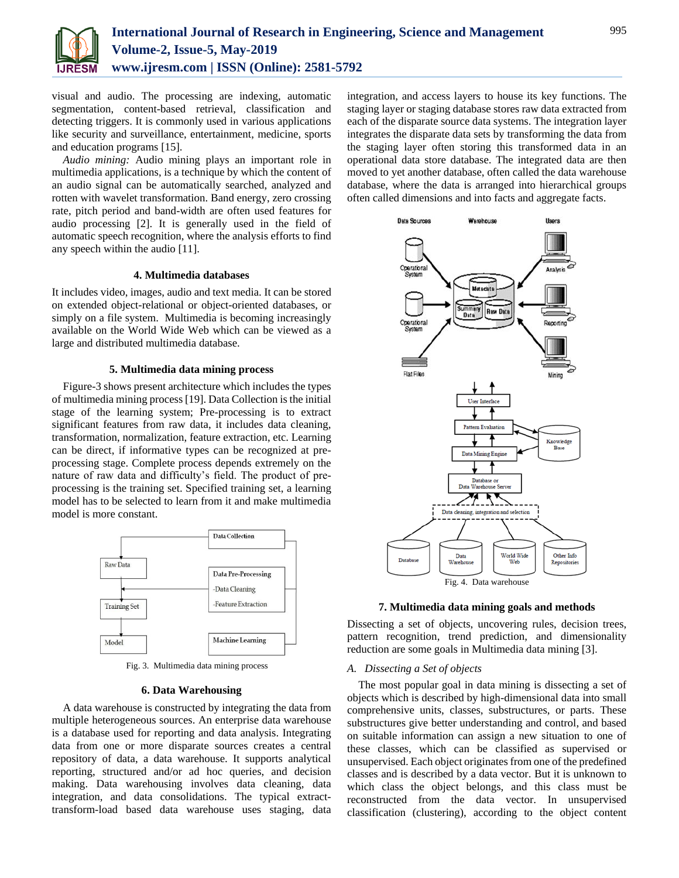

visual and audio. The processing are indexing, automatic segmentation, content-based retrieval, classification and detecting triggers. It is commonly used in various applications like security and surveillance, entertainment, medicine, sports and education programs [15].

*Audio mining:* Audio mining plays an important role in multimedia applications, is a technique by which the content of an audio signal can be automatically searched, analyzed and rotten with wavelet transformation. Band energy, zero crossing rate, pitch period and band-width are often used features for audio processing [2]. It is generally used in the field of automatic speech recognition, where the analysis efforts to find any speech within the audio [11].

# **4. Multimedia databases**

It includes video, images, audio and text media. It can be stored on extended object-relational or object-oriented databases, or simply on a file system. Multimedia is becoming increasingly available on the World Wide Web which can be viewed as a large and distributed multimedia database.

# **5. Multimedia data mining process**

Figure-3 shows present architecture which includes the types of multimedia mining process [19]. Data Collection is the initial stage of the learning system; Pre-processing is to extract significant features from raw data, it includes data cleaning, transformation, normalization, feature extraction, etc. Learning can be direct, if informative types can be recognized at preprocessing stage. Complete process depends extremely on the nature of raw data and difficulty's field. The product of preprocessing is the training set. Specified training set, a learning model has to be selected to learn from it and make multimedia model is more constant.



Fig. 3. Multimedia data mining process

## **6. Data Warehousing**

A data warehouse is constructed by integrating the data from multiple heterogeneous sources. An enterprise data warehouse is a database used for reporting and data analysis. Integrating data from one or more disparate sources creates a central repository of data, a data warehouse. It supports analytical reporting, structured and/or ad hoc queries, and decision making. Data warehousing involves data cleaning, data integration, and data consolidations. The typical extracttransform-load based data warehouse uses staging, data integration, and access layers to house its key functions. The staging layer or staging database stores raw data extracted from each of the disparate source data systems. The integration layer integrates the disparate data sets by transforming the data from the staging layer often storing this transformed data in an operational data store database. The integrated data are then moved to yet another database, often called the data warehouse database, where the data is arranged into hierarchical groups often called dimensions and into facts and aggregate facts.



**7. Multimedia data mining goals and methods**

Dissecting a set of objects, uncovering rules, decision trees, pattern recognition, trend prediction, and dimensionality reduction are some goals in Multimedia data mining [3].

# *A. Dissecting a Set of objects*

The most popular goal in data mining is dissecting a set of objects which is described by high-dimensional data into small comprehensive units, classes, substructures, or parts. These substructures give better understanding and control, and based on suitable information can assign a new situation to one of these classes, which can be classified as supervised or unsupervised. Each object originates from one of the predefined classes and is described by a data vector. But it is unknown to which class the object belongs, and this class must be reconstructed from the data vector. In unsupervised classification (clustering), according to the object content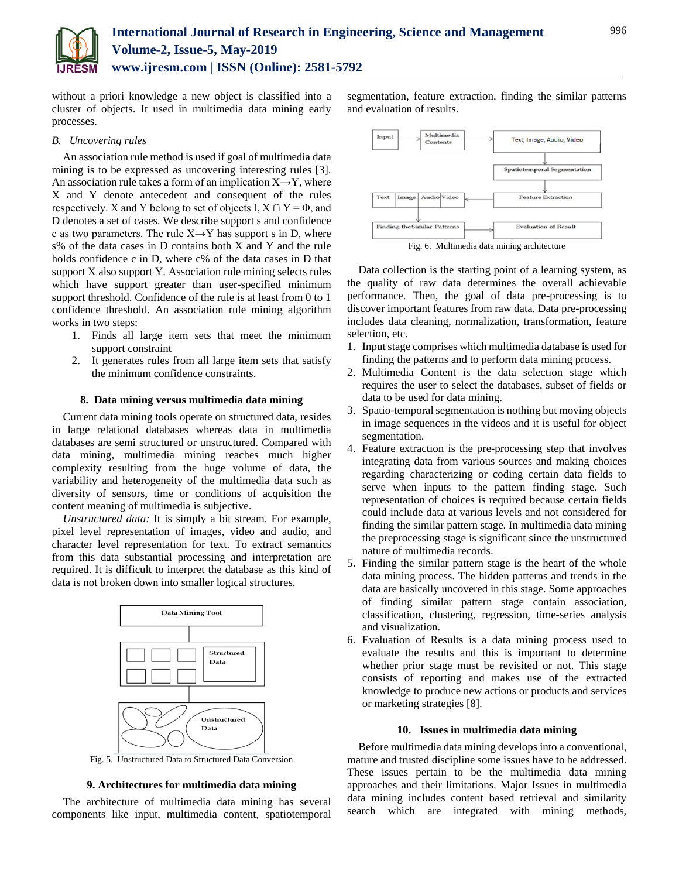

without a priori knowledge a new object is classified into a cluster of objects. It used in multimedia data mining early processes.

# *B. Uncovering rules*

An association rule method is used if goal of multimedia data mining is to be expressed as uncovering interesting rules [3]. An association rule takes a form of an implication  $X \rightarrow Y$ , where X and Y denote antecedent and consequent of the rules respectively. X and Y belong to set of objects I,  $X \cap Y = \Phi$ , and D denotes a set of cases. We describe support s and confidence c as two parameters. The rule  $X \rightarrow Y$  has support s in D, where s% of the data cases in D contains both X and Y and the rule holds confidence c in D, where c% of the data cases in D that support X also support Y. Association rule mining selects rules which have support greater than user-specified minimum support threshold. Confidence of the rule is at least from 0 to 1 confidence threshold. An association rule mining algorithm works in two steps:

- 1. Finds all large item sets that meet the minimum support constraint
- 2. It generates rules from all large item sets that satisfy the minimum confidence constraints.

# **8. Data mining versus multimedia data mining**

Current data mining tools operate on structured data, resides in large relational databases whereas data in multimedia databases are semi structured or unstructured. Compared with data mining, multimedia mining reaches much higher complexity resulting from the huge volume of data, the variability and heterogeneity of the multimedia data such as diversity of sensors, time or conditions of acquisition the content meaning of multimedia is subjective.

*Unstructured data:* It is simply a bit stream. For example, pixel level representation of images, video and audio, and character level representation for text. To extract semantics from this data substantial processing and interpretation are required. It is difficult to interpret the database as this kind of data is not broken down into smaller logical structures.



Fig. 5. Unstructured Data to Structured Data Conversion

# **9. Architectures for multimedia data mining**

The architecture of multimedia data mining has several components like input, multimedia content, spatiotemporal

segmentation, feature extraction, finding the similar patterns and evaluation of results.



Fig. 6. Multimedia data mining architecture

Data collection is the starting point of a learning system, as the quality of raw data determines the overall achievable performance. Then, the goal of data pre-processing is to discover important features from raw data. Data pre-processing includes data cleaning, normalization, transformation, feature selection, etc.

- 1. Input stage comprises which multimedia database is used for finding the patterns and to perform data mining process.
- 2. Multimedia Content is the data selection stage which requires the user to select the databases, subset of fields or data to be used for data mining.
- 3. Spatio-temporal segmentation is nothing but moving objects in image sequences in the videos and it is useful for object segmentation.
- 4. Feature extraction is the pre-processing step that involves integrating data from various sources and making choices regarding characterizing or coding certain data fields to serve when inputs to the pattern finding stage. Such representation of choices is required because certain fields could include data at various levels and not considered for finding the similar pattern stage. In multimedia data mining the preprocessing stage is significant since the unstructured nature of multimedia records.
- 5. Finding the similar pattern stage is the heart of the whole data mining process. The hidden patterns and trends in the data are basically uncovered in this stage. Some approaches of finding similar pattern stage contain association, classification, clustering, regression, time-series analysis and visualization.
- 6. Evaluation of Results is a data mining process used to evaluate the results and this is important to determine whether prior stage must be revisited or not. This stage consists of reporting and makes use of the extracted knowledge to produce new actions or products and services or marketing strategies [8].

#### **10. Issues in multimedia data mining**

Before multimedia data mining develops into a conventional, mature and trusted discipline some issues have to be addressed. These issues pertain to be the multimedia data mining approaches and their limitations. Major Issues in multimedia data mining includes content based retrieval and similarity search which are integrated with mining methods,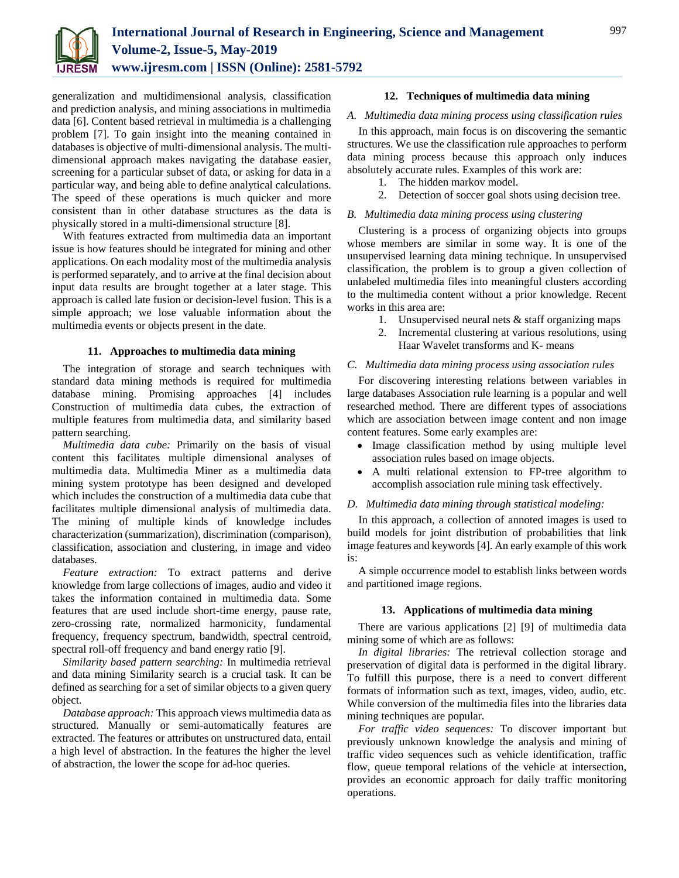

generalization and multidimensional analysis, classification and prediction analysis, and mining associations in multimedia data [6]. Content based retrieval in multimedia is a challenging problem [7]. To gain insight into the meaning contained in databases is objective of multi-dimensional analysis. The multidimensional approach makes navigating the database easier, screening for a particular subset of data, or asking for data in a particular way, and being able to define analytical calculations. The speed of these operations is much quicker and more consistent than in other database structures as the data is physically stored in a multi-dimensional structure [8].

With features extracted from multimedia data an important issue is how features should be integrated for mining and other applications. On each modality most of the multimedia analysis is performed separately, and to arrive at the final decision about input data results are brought together at a later stage. This approach is called late fusion or decision-level fusion. This is a simple approach; we lose valuable information about the multimedia events or objects present in the date.

# **11. Approaches to multimedia data mining**

The integration of storage and search techniques with standard data mining methods is required for multimedia database mining. Promising approaches [4] includes Construction of multimedia data cubes, the extraction of multiple features from multimedia data, and similarity based pattern searching.

*Multimedia data cube:* Primarily on the basis of visual content this facilitates multiple dimensional analyses of multimedia data. Multimedia Miner as a multimedia data mining system prototype has been designed and developed which includes the construction of a multimedia data cube that facilitates multiple dimensional analysis of multimedia data. The mining of multiple kinds of knowledge includes characterization (summarization), discrimination (comparison), classification, association and clustering, in image and video databases.

*Feature extraction:* To extract patterns and derive knowledge from large collections of images, audio and video it takes the information contained in multimedia data. Some features that are used include short-time energy, pause rate, zero-crossing rate, normalized harmonicity, fundamental frequency, frequency spectrum, bandwidth, spectral centroid, spectral roll-off frequency and band energy ratio [9].

*Similarity based pattern searching:* In multimedia retrieval and data mining Similarity search is a crucial task. It can be defined as searching for a set of similar objects to a given query object.

*Database approach:* This approach views multimedia data as structured. Manually or semi-automatically features are extracted. The features or attributes on unstructured data, entail a high level of abstraction. In the features the higher the level of abstraction, the lower the scope for ad-hoc queries.

# **12. Techniques of multimedia data mining**

# *A. Multimedia data mining process using classification rules*

In this approach, main focus is on discovering the semantic structures. We use the classification rule approaches to perform data mining process because this approach only induces absolutely accurate rules. Examples of this work are:

- 1. The hidden markov model.
- 2. Detection of soccer goal shots using decision tree.

# *B. Multimedia data mining process using clustering*

Clustering is a process of organizing objects into groups whose members are similar in some way. It is one of the unsupervised learning data mining technique. In unsupervised classification, the problem is to group a given collection of unlabeled multimedia files into meaningful clusters according to the multimedia content without a prior knowledge. Recent works in this area are:

- 1. Unsupervised neural nets & staff organizing maps
- 2. Incremental clustering at various resolutions, using Haar Wavelet transforms and K- means

# *C. Multimedia data mining process using association rules*

For discovering interesting relations between variables in large databases Association rule learning is a popular and well researched method. There are different types of associations which are association between image content and non image content features. Some early examples are:

- Image classification method by using multiple level association rules based on image objects.
- A multi relational extension to FP-tree algorithm to accomplish association rule mining task effectively.

# *D. Multimedia data mining through statistical modeling:*

In this approach, a collection of annoted images is used to build models for joint distribution of probabilities that link image features and keywords [4]. An early example of this work is:

A simple occurrence model to establish links between words and partitioned image regions.

# **13. Applications of multimedia data mining**

There are various applications [2] [9] of multimedia data mining some of which are as follows:

*In digital libraries:* The retrieval collection storage and preservation of digital data is performed in the digital library. To fulfill this purpose, there is a need to convert different formats of information such as text, images, video, audio, etc. While conversion of the multimedia files into the libraries data mining techniques are popular.

*For traffic video sequences:* To discover important but previously unknown knowledge the analysis and mining of traffic video sequences such as vehicle identification, traffic flow, queue temporal relations of the vehicle at intersection, provides an economic approach for daily traffic monitoring operations.